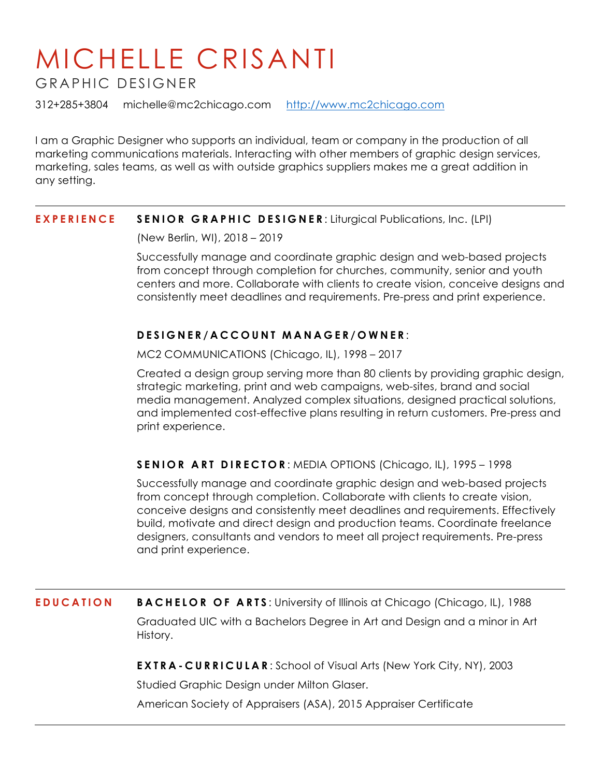## MICHELLE CRISANTI

GRAPHIC DESIGNER

312+285+3804 michelle@mc2chicago.com http://www.mc2chicago.com

I am a Graphic Designer who supports an individual, team or company in the production of all marketing communications materials. Interacting with other members of graphic design services, marketing, sales teams, as well as with outside graphics suppliers makes me a great addition in any setting.

## **EXPERIENCE SENIOR GRAPHIC DESIGNER** : Liturgical Publications, Inc. (LPI)

(New Berlin, WI), 2018 – 2019

Successfully manage and coordinate graphic design and web-based projects from concept through completion for churches, community, senior and youth centers and more. Collaborate with clients to create vision, conceive designs and consistently meet deadlines and requirements. Pre-press and print experience.

## **DESIGNER /ACCOUNT MANAGER/OWNER** :

MC2 COMMUNICATIONS (Chicago, IL), 1998 – 2017

Created a design group serving more than 80 clients by providing graphic design, strategic marketing, print and web campaigns, web-sites, brand and social media management. Analyzed complex situations, designed practical solutions, and implemented cost-effective plans resulting in return customers. Pre-press and print experience.

## **SENIOR ART DIRECTOR** : MEDIA OPTIONS (Chicago, IL), 1995 – 1998

Successfully manage and coordinate graphic design and web-based projects from concept through completion. Collaborate with clients to create vision, conceive designs and consistently meet deadlines and requirements. Effectively build, motivate and direct design and production teams. Coordinate freelance designers, consultants and vendors to meet all project requirements. Pre-press and print experience.

**EDUCATION BACHELOR OF ARTS:** University of Illinois at Chicago (Chicago, IL), 1988 Graduated UIC with a Bachelors Degree in Art and Design and a minor in Art History.

**EXTRA - CURRICULAR** : School of Visual Arts (New York City, NY), 2003

Studied Graphic Design under Milton Glaser.

American Society of Appraisers (ASA), 2015 Appraiser Certificate